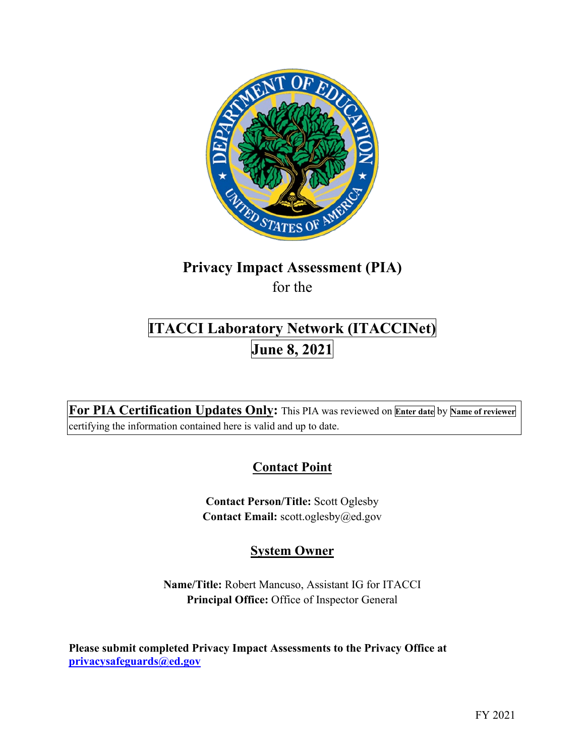

# **Privacy Impact Assessment (PIA)**

for the

# **ITACCI Laboratory Network (ITACCINet) June 8, 2021**

 **For PIA Certification Updates Only:** This PIA was reviewed on **Enter date** by **Name of reviewer**  certifying the information contained here is valid and up to date.

# **Contact Point**

**Contact Person/Title:** Scott Oglesby **Contact Email:** [scott.oglesby@ed.gov](mailto:scott.oglesby@ed.gov) 

# **System Owner**

**Name/Title:** Robert Mancuso, Assistant IG for ITACCI **Principal Office:** Office of Inspector General

 **[privacysafeguards@ed.gov](mailto:privacysafeguards@ed.gov) Please submit completed Privacy Impact Assessments to the Privacy Office at**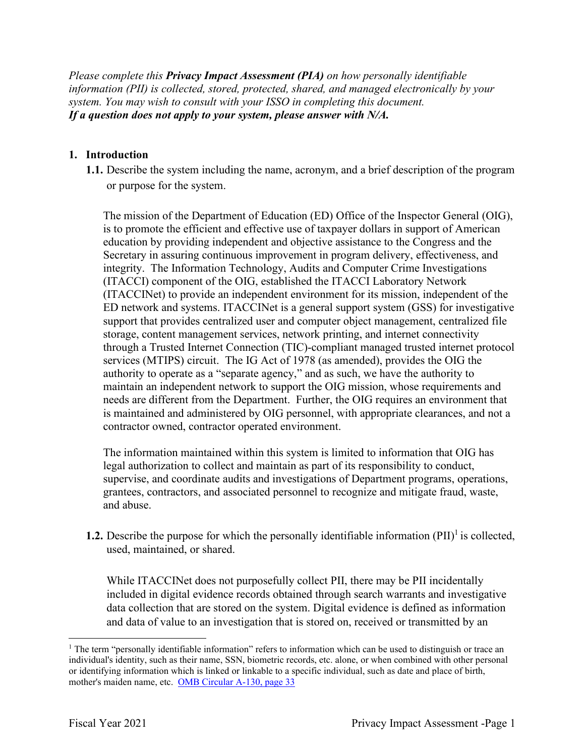*Please complete this Privacy Impact Assessment (PIA) on how personally identifiable information (PII) is collected, stored, protected, shared, and managed electronically by your system. You may wish to consult with your ISSO in completing this document. If a question does not apply to your system, please answer with N/A.* 

#### **1. Introduction**

 **1.1.** Describe the system including the name, acronym, and a brief description of the program or purpose for the system.

 (ITACCI) component of the OIG, established the ITACCI Laboratory Network ED network and systems. ITACCINet is a general support system (GSS) for investigative services (MTIPS) circuit. The IG Act of 1978 (as amended), provides the OIG the The mission of the Department of Education (ED) Office of the Inspector General (OIG), is to promote the efficient and effective use of taxpayer dollars in support of American education by providing independent and objective assistance to the Congress and the Secretary in assuring continuous improvement in program delivery, effectiveness, and integrity. The Information Technology, Audits and Computer Crime Investigations (ITACCINet) to provide an independent environment for its mission, independent of the support that provides centralized user and computer object management, centralized file storage, content management services, network printing, and internet connectivity through a Trusted Internet Connection (TIC)-compliant managed trusted internet protocol authority to operate as a "separate agency," and as such, we have the authority to maintain an independent network to support the OIG mission, whose requirements and needs are different from the Department. Further, the OIG requires an environment that is maintained and administered by OIG personnel, with appropriate clearances, and not a contractor owned, contractor operated environment.

The information maintained within this system is limited to information that OIG has legal authorization to collect and maintain as part of its responsibility to conduct, supervise, and coordinate audits and investigations of Department programs, operations, grantees, contractors, and associated personnel to recognize and mitigate fraud, waste, and abuse.

**1.2.** Describe the purpose for which the personally identifiable information (PII)<sup>1</sup> is collected, used, maintained, or shared.

While ITACCINet does not purposefully collect PII, there may be PII incidentally included in digital evidence records obtained through search warrants and investigative data collection that are stored on the system. Digital evidence is defined as information and data of value to an investigation that is stored on, received or transmitted by an

 or identifying information which is linked or linkable to a specific individual, such as date and place of birth, mother's maiden name, etc. OMB Circular A-130, page 33 <sup>1</sup> The term "personally identifiable information" refers to information which can be used to distinguish or trace an individual's identity, such as their name, SSN, biometric records, etc. alone, or when combined with other personal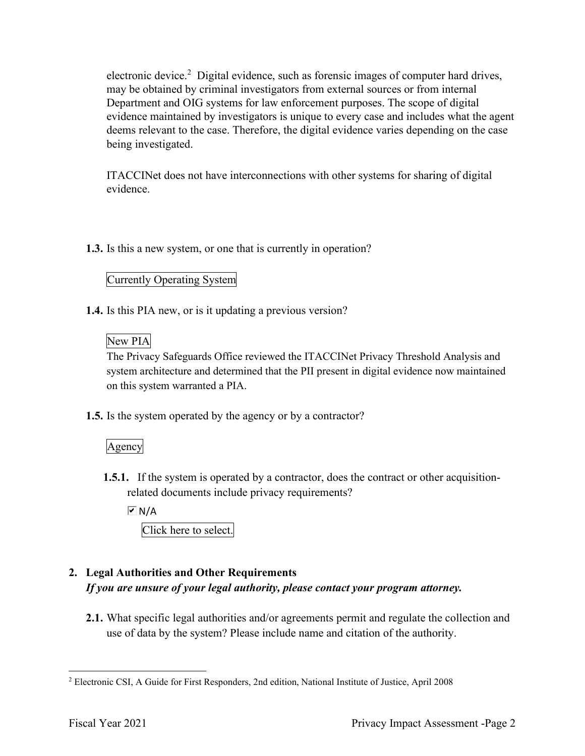electronic device.<sup>2</sup> Digital evidence, such as forensic images of computer hard drives, may be obtained by criminal investigators from external sources or from internal Department and OIG systems for law enforcement purposes. The scope of digital evidence maintained by investigators is unique to every case and includes what the agent deems relevant to the case. Therefore, the digital evidence varies depending on the case being investigated.

ITACCINet does not have interconnections with other systems for sharing of digital evidence.

**1.3.** Is this a new system, or one that is currently in operation?

### Currently Operating System

**1.4.** Is this PIA new, or is it updating a previous version?<br>New PIA

#### New PIA

The Privacy Safeguards Office reviewed the ITACCINet Privacy Threshold Analysis and system architecture and determined that the PII present in digital evidence now maintained on this system warranted a PIA.

**1.5.** Is the system operated by the agency or by a contractor?

#### Agency

**1.5.1.** If the system is operated by a contractor, does the contract or other acquisitionrelated documents include privacy requirements?

 $\overline{M}$  N/A

Click here to select.

# **2. Legal Authorities and Other Requirements**  *If you are unsure of your legal authority, please contact your program attorney.*

**2.1.** What specific legal authorities and/or agreements permit and regulate the collection and use of data by the system? Please include name and citation of the authority.

<sup>2</sup> Electronic CSI, A Guide for First Responders, 2nd edition, National Institute of Justice, April 2008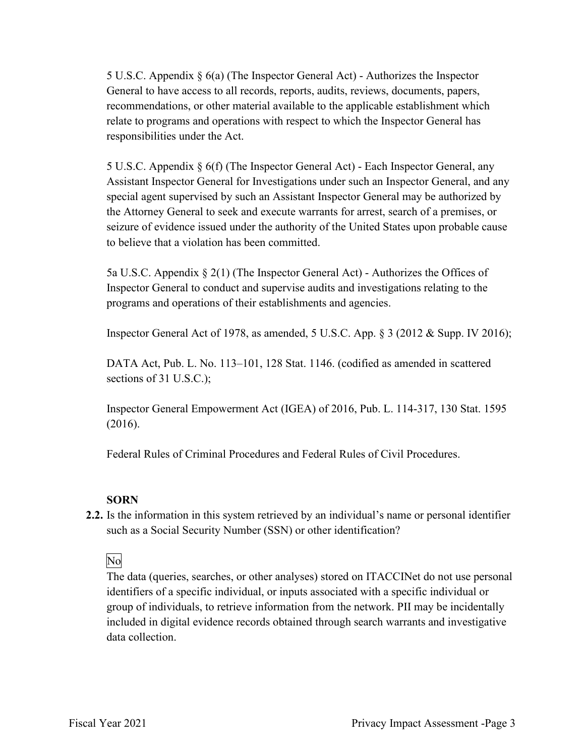5 U.S.C. Appendix § 6(a) (The Inspector General Act) - Authorizes the Inspector General to have access to all records, reports, audits, reviews, documents, papers, recommendations, or other material available to the applicable establishment which relate to programs and operations with respect to which the Inspector General has responsibilities under the Act.

 the Attorney General to seek and execute warrants for arrest, search of a premises, or 5 U.S.C. Appendix § 6(f) (The Inspector General Act) - Each Inspector General, any Assistant Inspector General for Investigations under such an Inspector General, and any special agent supervised by such an Assistant Inspector General may be authorized by seizure of evidence issued under the authority of the United States upon probable cause to believe that a violation has been committed.

 5a U.S.C. Appendix § 2(1) (The Inspector General Act) - Authorizes the Offices of Inspector General to conduct and supervise audits and investigations relating to the programs and operations of their establishments and agencies.

Inspector General Act of 1978, as amended, 5 U.S.C. App. § 3 (2012 & Supp. IV 2016);

sections of  $31$  U.S.C.); DATA Act, Pub. L. No. 113–101, 128 Stat. 1146. (codified as amended in scattered

sections of 31 U.S.C.);<br>Inspector General Empowerment Act (IGEA) of 2016, Pub. L. 114-317, 130 Stat. 1595  $(2016).$ 

(2016). Federal Rules of Criminal Procedures and Federal Rules of Civil Procedures.

#### **SORN**

 such as a Social Security Number (SSN) or other identification? **2.2.** Is the information in this system retrieved by an individual's name or personal identifier

## No

data collection. The data (queries, searches, or other analyses) stored on ITACCINet do not use personal identifiers of a specific individual, or inputs associated with a specific individual or group of individuals, to retrieve information from the network. PII may be incidentally included in digital evidence records obtained through search warrants and investigative data collection.<br>Fiscal Year 2021 Privacy Impact Assessment -Page 3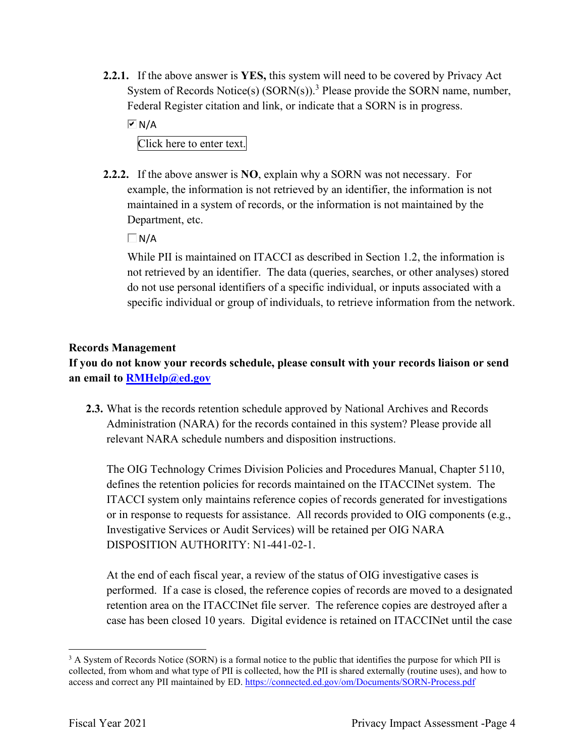**2.2.1.** If the above answer is **YES,** this system will need to be covered by Privacy Act System of Records Notice(s)  $(SORN(s))$ .<sup>3</sup> Please provide the SORN name, number, Federal Register citation and link, or indicate that a SORN is in progress.

 $\overline{M}$  N/A

Click here to enter text.

 **2.2.2.** If the above answer is **NO**, explain why a SORN was not necessary. For example, the information is not retrieved by an identifier, the information is not Department, etc. maintained in a system of records, or the information is not maintained by the

 $\Box$ N/A

While PII is maintained on ITACCI as described in Section 1.2, the information is not retrieved by an identifier. The data (queries, searches, or other analyses) stored do not use personal identifiers of a specific individual, or inputs associated with a specific individual or group of individuals, to retrieve information from the network.

#### **Records Management**

**If you do not know your records schedule, please consult with your records liaison or send an email to [RMHelp@ed.gov](mailto:RMHelp@ed.gov)** 

 **2.3.** What is the records retention schedule approved by National Archives and Records Administration (NARA) for the records contained in this system? Please provide all relevant NARA schedule numbers and disposition instructions.

 ITACCI system only maintains reference copies of records generated for investigations Investigative Services or Audit Services) will be retained per OIG NARA The OIG Technology Crimes Division Policies and Procedures Manual, Chapter 5110, defines the retention policies for records maintained on the ITACCINet system. The or in response to requests for assistance. All records provided to OIG components (e.g., DISPOSITION AUTHORITY: N1-441-02-1.

 At the end of each fiscal year, a review of the status of OIG investigative cases is performed. If a case is closed, the reference copies of records are moved to a designated case has been closed 10 years. Digital evidence is retained on ITACCINet until the case retention area on the ITACCINet file server. The reference copies are destroyed after a

access and correct any PII maintained by ED. https://connected.ed.gov/om/Documents/SORN-Process.pdf<br>Fiscal Year 2021 Privacy Impact Assessment -Page 4 <sup>3</sup> A System of Records Notice (SORN) is a formal notice to the public that identifies the purpose for which PII is collected, from whom and what type of PII is collected, how the PII is shared externally (routine uses), and how to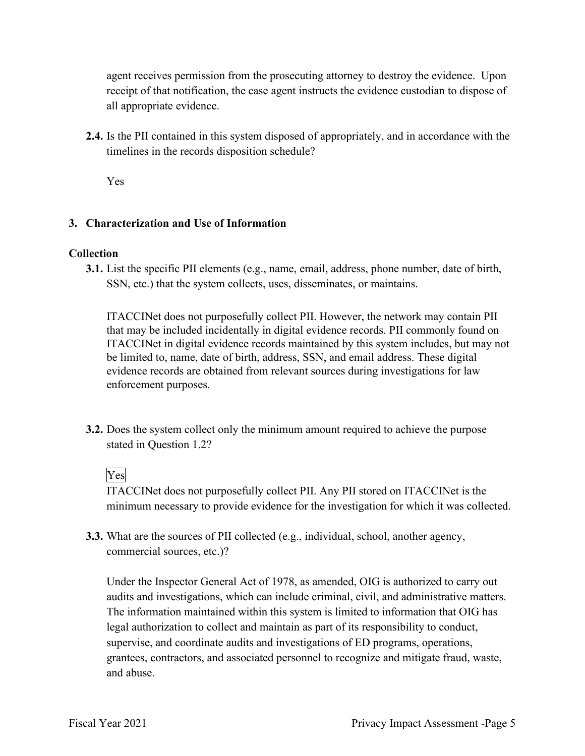agent receives permission from the prosecuting attorney to destroy the evidence. Upon receipt of that notification, the case agent instructs the evidence custodian to dispose of all appropriate evidence.

timelines in the records disposition schedule?<br>Yes **2.4.** Is the PII contained in this system disposed of appropriately, and in accordance with the

#### **3. Characterization and Use of Information**

#### **Collection**

**3.1.** List the specific PII elements (e.g., name, email, address, phone number, date of birth, SSN, etc.) that the system collects, uses, disseminates, or maintains.

ITACCINet does not purposefully collect PII. However, the network may contain PII that may be included incidentally in digital evidence records. PII commonly found on ITACCINet in digital evidence records maintained by this system includes, but may not be limited to, name, date of birth, address, SSN, and email address. These digital evidence records are obtained from relevant sources during investigations for law enforcement purposes.

stated in Question 1.2?<br>Yes **3.2.** Does the system collect only the minimum amount required to achieve the purpose

ITACCINet does not purposefully collect PII. Any PII stored on ITACCINet is the minimum necessary to provide evidence for the investigation for which it was collected.

**3.3.** What are the sources of PII collected (e.g., individual, school, another agency, commercial sources, etc.)?

audits and investigations, which can include criminal, civil, and administrative matters. supervise, and coordinate audits and investigations of ED programs, operations, and abuse. Under the Inspector General Act of 1978, as amended, OIG is authorized to carry out The information maintained within this system is limited to information that OIG has legal authorization to collect and maintain as part of its responsibility to conduct, grantees, contractors, and associated personnel to recognize and mitigate fraud, waste, and abuse.<br>Fiscal Year 2021 Privacy Impact Assessment -Page 5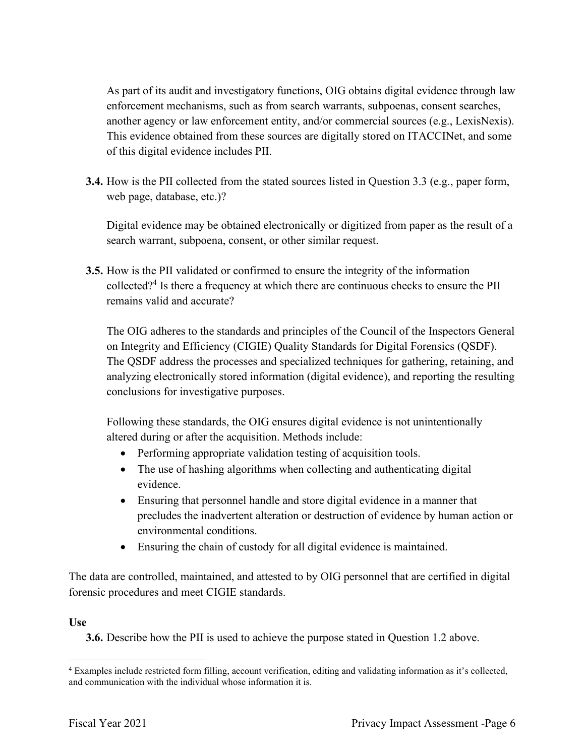another agency or law enforcement entity, and/or commercial sources (e.g., LexisNexis). of this digital evidence includes PII. As part of its audit and investigatory functions, OIG obtains digital evidence through law enforcement mechanisms, such as from search warrants, subpoenas, consent searches, This evidence obtained from these sources are digitally stored on ITACCINet, and some

 **3.4.** How is the PII collected from the stated sources listed in Question 3.3 (e.g., paper form, web page, database, etc.)?

 Digital evidence may be obtained electronically or digitized from paper as the result of a search warrant, subpoena, consent, or other similar request.

**3.5.** How is the PII validated or confirmed to ensure the integrity of the information collected?<sup>4</sup> Is there a frequency at which there are continuous checks to ensure the PII remains valid and accurate?

 The OIG adheres to the standards and principles of the Council of the Inspectors General on Integrity and Efficiency (CIGIE) Quality Standards for Digital Forensics (QSDF). The QSDF address the processes and specialized techniques for gathering, retaining, and analyzing electronically stored information (digital evidence), and reporting the resulting conclusions for investigative purposes.

Following these standards, the OIG ensures digital evidence is not unintentionally altered during or after the acquisition. Methods include:

- Performing appropriate validation testing of acquisition tools.
- The use of hashing algorithms when collecting and authenticating digital evidence.
- Ensuring that personnel handle and store digital evidence in a manner that precludes the inadvertent alteration or destruction of evidence by human action or environmental conditions.
- Ensuring the chain of custody for all digital evidence is maintained.

 The data are controlled, maintained, and attested to by OIG personnel that are certified in digital forensic procedures and meet CIGIE standards.

#### **Use**

**3.6.** Describe how the PII is used to achieve the purpose stated in Question 1.2 above.

and communication with the individual whose information it is. 4 Examples include restricted form filling, account verification, editing and validating information as it's collected, and communication with the individual whose information it is.<br>Fiscal Year 2021 Privacy Impact Assessment -Page 6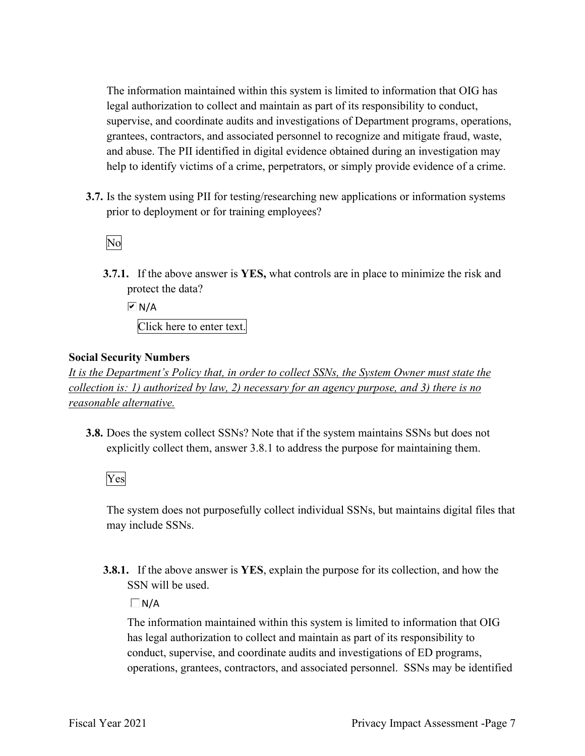help to identify victims of a crime, perpetrators, or simply provide evidence of a crime. The information maintained within this system is limited to information that OIG has legal authorization to collect and maintain as part of its responsibility to conduct, supervise, and coordinate audits and investigations of Department programs, operations, grantees, contractors, and associated personnel to recognize and mitigate fraud, waste, and abuse. The PII identified in digital evidence obtained during an investigation may

 **3.7.** Is the system using PII for testing/researching new applications or information systems prior to deployment or for training employees?<br>No

**3.7.1.** If the above answer is **YES,** what controls are in place to minimize the risk and protect the data?

 Click here to enter text.  $\overline{M}$  N/A

#### **Social Security Numbers**

*It is the Department's Policy that, in order to collect SSNs, the System Owner must state the collection is: 1) authorized by law, 2) necessary for an agency purpose, and 3) there is no reasonable alternative.* 

**3.8.** Does the system collect SSNs? Note that if the system maintains SSNs but does not explicitly collect them, answer 3.8.1 to address the purpose for maintaining them.

Yes

The system does not purposefully collect individual SSNs, but maintains digital files that may include SSNs.

**3.8.1.** If the above answer is **YES**, explain the purpose for its collection, and how the SSN will be used.

 $\Box$ N/A

 conduct, supervise, and coordinate audits and investigations of ED programs, operations, grantees, contractors, and associated personnel. SSNs may be identified The information maintained within this system is limited to information that OIG has legal authorization to collect and maintain as part of its responsibility to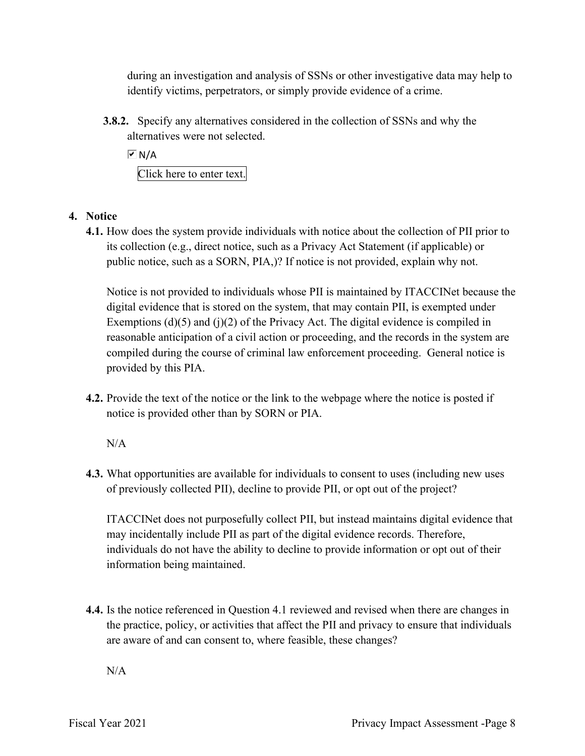identify victims, perpetrators, or simply provide evidence of a crime. during an investigation and analysis of SSNs or other investigative data may help to

 **3.8.2.** Specify any alternatives considered in the collection of SSNs and why the alternatives were not selected.

 $\overline{M}$  N/A

Click here to enter text.

#### **4. Notice**

 its collection (e.g., direct notice, such as a Privacy Act Statement (if applicable) or public notice, such as a SORN, PIA,)? If notice is not provided, explain why not. **4.1.** How does the system provide individuals with notice about the collection of PII prior to

 digital evidence that is stored on the system, that may contain PII, is exempted under Exemptions (d)(5) and (j)(2) of the Privacy Act. The digital evidence is compiled in reasonable anticipation of a civil action or proceeding, and the records in the system are compiled during the course of criminal law enforcement proceeding. General notice is Notice is not provided to individuals whose PII is maintained by ITACCINet because the provided by this PIA.

**4.2.** Provide the text of the notice or the link to the webpage where the notice is posted if notice is provided other than by SORN or PIA.

N/A

**4.3.** What opportunities are available for individuals to consent to uses (including new uses of previously collected PII), decline to provide PII, or opt out of the project?

 may incidentally include PII as part of the digital evidence records. Therefore, ITACCINet does not purposefully collect PII, but instead maintains digital evidence that individuals do not have the ability to decline to provide information or opt out of their information being maintained.

 are aware of and can consent to, where feasible, these changes? **4.4.** Is the notice referenced in Question 4.1 reviewed and revised when there are changes in the practice, policy, or activities that affect the PII and privacy to ensure that individuals

 $N/A$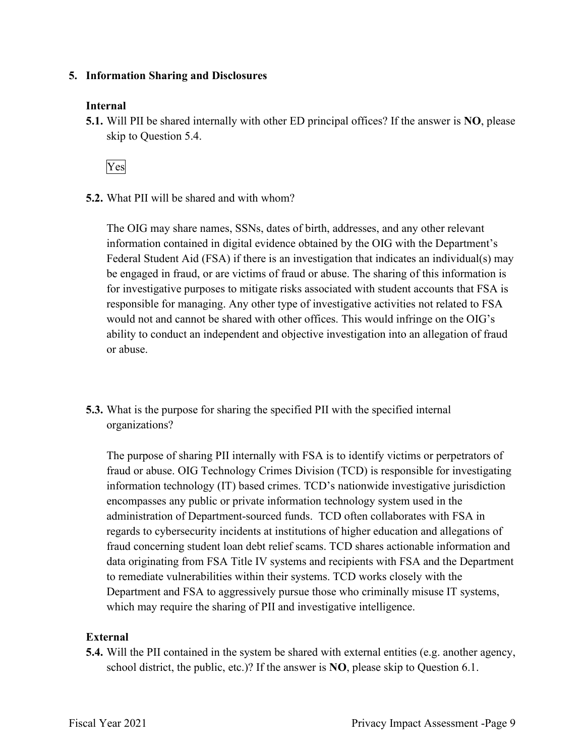#### **5. Information Sharing and Disclosures**

#### **Internal**

 **5.1.** Will PII be shared internally with other ED principal offices? If the answer is **NO**, please skip to Question 5.4.

Yes

**5.2.** What PII will be shared and with whom?

 The OIG may share names, SSNs, dates of birth, addresses, and any other relevant Federal Student Aid (FSA) if there is an investigation that indicates an individual(s) may information contained in digital evidence obtained by the OIG with the Department's be engaged in fraud, or are victims of fraud or abuse. The sharing of this information is for investigative purposes to mitigate risks associated with student accounts that FSA is responsible for managing. Any other type of investigative activities not related to FSA would not and cannot be shared with other offices. This would infringe on the OIG's ability to conduct an independent and objective investigation into an allegation of fraud or abuse.

organizations? **5.3.** What is the purpose for sharing the specified PII with the specified internal

 fraud or abuse. OIG Technology Crimes Division (TCD) is responsible for investigating Department and FSA to aggressively pursue those who criminally misuse IT systems, The purpose of sharing PII internally with FSA is to identify victims or perpetrators of information technology (IT) based crimes. TCD's nationwide investigative jurisdiction encompasses any public or private information technology system used in the administration of Department-sourced funds. TCD often collaborates with FSA in regards to cybersecurity incidents at institutions of higher education and allegations of fraud concerning student loan debt relief scams. TCD shares actionable information and data originating from FSA Title IV systems and recipients with FSA and the Department to remediate vulnerabilities within their systems. TCD works closely with the which may require the sharing of PII and investigative intelligence.

#### **External**

**5.4.** Will the PII contained in the system be shared with external entities (e.g. another agency, school district, the public, etc.)? If the answer is **NO**, please skip to Question 6.1.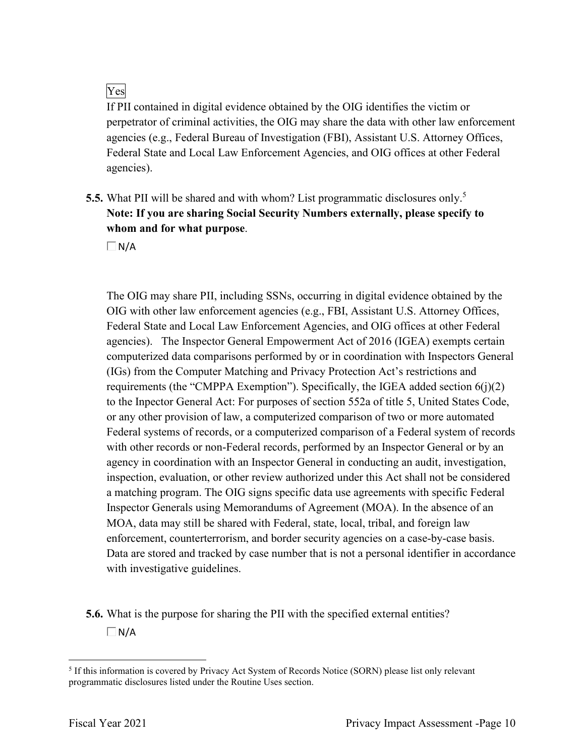## Yes

 agencies (e.g., Federal Bureau of Investigation (FBI), Assistant U.S. Attorney Offices, If PII contained in digital evidence obtained by the OIG identifies the victim or perpetrator of criminal activities, the OIG may share the data with other law enforcement Federal State and Local Law Enforcement Agencies, and OIG offices at other Federal agencies).

 **5.5.** What PII will be shared and with whom? List programmatic disclosures only.5 **Note: If you are sharing Social Security Numbers externally, please specify to whom and for what purpose**.

 $\Box N/A$ 

 OIG with other law enforcement agencies (e.g., FBI, Assistant U.S. Attorney Offices, agencies). The Inspector General Empowerment Act of 2016 (IGEA) exempts certain requirements (the "CMPPA Exemption"). Specifically, the IGEA added section 6(j)(2) to the Inpector General Act: For purposes of section 552a of title 5, United States Code, Federal systems of records, or a computerized comparison of a Federal system of records a matching program. The OIG signs specific data use agreements with specific Federal The OIG may share PII, including SSNs, occurring in digital evidence obtained by the Federal State and Local Law Enforcement Agencies, and OIG offices at other Federal computerized data comparisons performed by or in coordination with Inspectors General (IGs) from the Computer Matching and Privacy Protection Act's restrictions and or any other provision of law, a computerized comparison of two or more automated with other records or non-Federal records, performed by an Inspector General or by an agency in coordination with an Inspector General in conducting an audit, investigation, inspection, evaluation, or other review authorized under this Act shall not be considered Inspector Generals using Memorandums of Agreement (MOA). In the absence of an MOA, data may still be shared with Federal, state, local, tribal, and foreign law enforcement, counterterrorism, and border security agencies on a case-by-case basis. Data are stored and tracked by case number that is not a personal identifier in accordance with investigative guidelines.

**5.6.** What is the purpose for sharing the PII with the specified external entities?  $\Box$ N/A

<sup>5</sup> If this information is covered by Privacy Act System of Records Notice (SORN) please list only relevant programmatic disclosures listed under the Routine Uses section.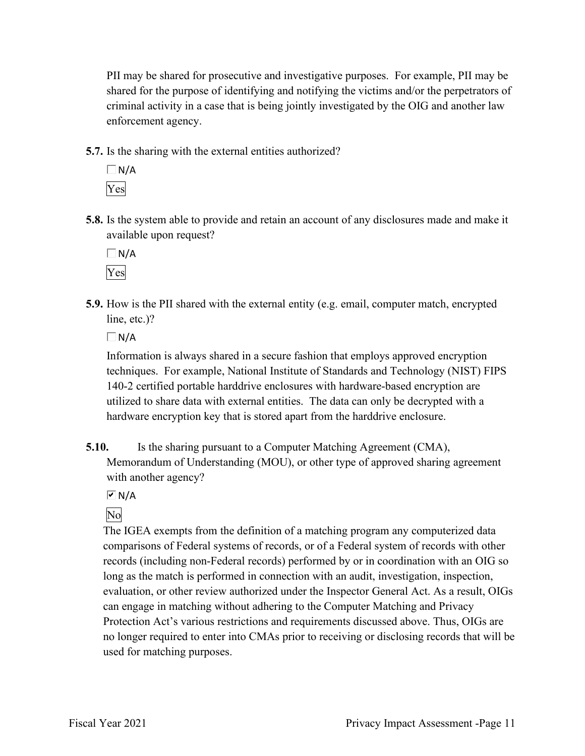PII may be shared for prosecutive and investigative purposes. For example, PII may be criminal activity in a case that is being jointly investigated by the OIG and another law enforcement agency. shared for the purpose of identifying and notifying the victims and/or the perpetrators of

**5.7.** Is the sharing with the external entities authorized?

 $\Box$ N/A Yes

**5.8.** Is the system able to provide and retain an account of any disclosures made and make it available upon request?

 $\Box$ N/A Yes

 **5.9.** How is the PII shared with the external entity (e.g. email, computer match, encrypted line, etc.)?

 $\Box$ N/A

 techniques. For example, National Institute of Standards and Technology (NIST) FIPS 140-2 certified portable harddrive enclosures with hardware-based encryption are Information is always shared in a secure fashion that employs approved encryption utilized to share data with external entities. The data can only be decrypted with a hardware encryption key that is stored apart from the harddrive enclosure.

**5.10.** Is the sharing pursuant to a Computer Matching Agreement (CMA), Memorandum of Understanding (MOU), or other type of approved sharing agreement with another agency?

 $\overline{M}$  N/A

# No

The IGEA exempts from the definition of a matching program any computerized data comparisons of Federal systems of records, or of a Federal system of records with other records (including non-Federal records) performed by or in coordination with an OIG so long as the match is performed in connection with an audit, investigation, inspection, evaluation, or other review authorized under the Inspector General Act. As a result, OIGs can engage in matching without adhering to the Computer Matching and Privacy Protection Act's various restrictions and requirements discussed above. Thus, OIGs are no longer required to enter into CMAs prior to receiving or disclosing records that will be used for matching purposes.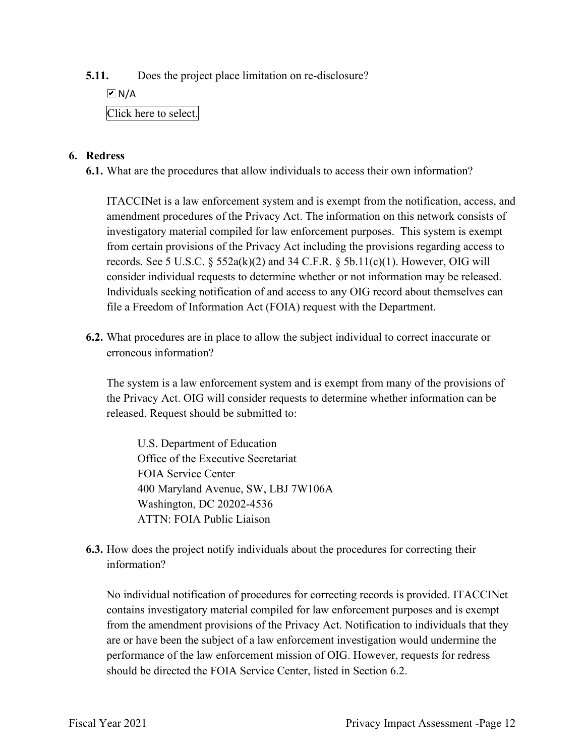**5.11.** Does the project place limitation on re-disclosure?

 $\boxed{v}$  N/A

### Click here to select.

#### **6. Redress**

**6.1.** What are the procedures that allow individuals to access their own information?

records. See 5 U.S.C.  $\S$  552a(k)(2) and 34 C.F.R.  $\S$  5b.11(c)(1). However, OIG will ITACCINet is a law enforcement system and is exempt from the notification, access, and amendment procedures of the Privacy Act. The information on this network consists of investigatory material compiled for law enforcement purposes. This system is exempt from certain provisions of the Privacy Act including the provisions regarding access to consider individual requests to determine whether or not information may be released. Individuals seeking notification of and access to any OIG record about themselves can file a Freedom of Information Act (FOIA) request with the Department.

**6.2.** What procedures are in place to allow the subject individual to correct inaccurate or erroneous information?

The system is a law enforcement system and is exempt from many of the provisions of the Privacy Act. OIG will consider requests to determine whether information can be released. Request should be submitted to:

U.S. Department of Education Office of the Executive Secretariat FOIA Service Center 400 Maryland Avenue, SW, LBJ 7W106A Washington, DC 20202-4536 ATTN: FOIA Public Liaison

**6.3.** How does the project notify individuals about the procedures for correcting their information?

 No individual notification of procedures for correcting records is provided. ITACCINet performance of the law enforcement mission of OIG. However, requests for redress contains investigatory material compiled for law enforcement purposes and is exempt from the amendment provisions of the Privacy Act. Notification to individuals that they are or have been the subject of a law enforcement investigation would undermine the should be directed the FOIA Service Center, listed in Section 6.2.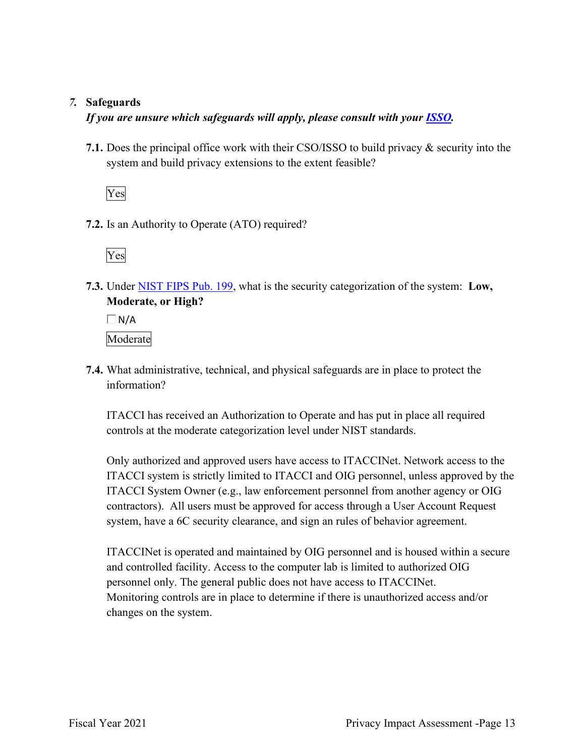#### *7.* **Safeguards**

#### *If you are unsure which safeguards will apply, please consult with your ISSO.*

 system and build privacy extensions to the extent feasible? **7.1.** Does the principal office work with their CSO/ISSO to build privacy & security into the

Yes

**7.2.** Is an Authority to Operate (ATO) required?

Yes

**7.3.** Under NIST FIPS Pub. 199, what is the security categorization of the system: **Low, Moderate, or High?** 

 $\Box$ N/A Moderate

**7.4.** What administrative, technical, and physical safeguards are in place to protect the information?

ITACCI has received an Authorization to Operate and has put in place all required controls at the moderate categorization level under NIST standards.

 system, have a 6C security clearance, and sign an rules of behavior agreement. Only authorized and approved users have access to ITACCINet. Network access to the ITACCI system is strictly limited to ITACCI and OIG personnel, unless approved by the ITACCI System Owner (e.g., law enforcement personnel from another agency or OIG contractors). All users must be approved for access through a User Account Request

 personnel only. The general public does not have access to ITACCINet. Monitoring controls are in place to determine if there is unauthorized access and/or ITACCINet is operated and maintained by OIG personnel and is housed within a secure and controlled facility. Access to the computer lab is limited to authorized OIG changes on the system.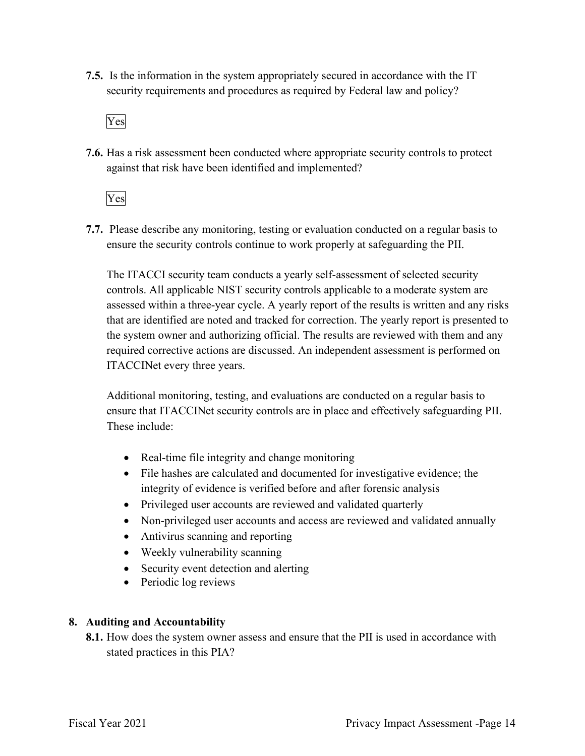**7.5.** Is the information in the system appropriately secured in accordance with the IT security requirements and procedures as required by Federal law and policy?

Yes

**7.6.** Has a risk assessment been conducted where appropriate security controls to protect against that risk have been identified and implemented?

Yes

 ensure the security controls continue to work properly at safeguarding the PII. **7.7.** Please describe any monitoring, testing or evaluation conducted on a regular basis to

The ITACCI security team conducts a yearly self-assessment of selected security controls. All applicable NIST security controls applicable to a moderate system are assessed within a three-year cycle. A yearly report of the results is written and any risks that are identified are noted and tracked for correction. The yearly report is presented to the system owner and authorizing official. The results are reviewed with them and any required corrective actions are discussed. An independent assessment is performed on ITACCINet every three years.

 ensure that ITACCINet security controls are in place and effectively safeguarding PII. Additional monitoring, testing, and evaluations are conducted on a regular basis to These include:

- Real-time file integrity and change monitoring
- integrity of evidence is verified before and after forensic analysis • File hashes are calculated and documented for investigative evidence; the
- Privileged user accounts are reviewed and validated quarterly
- Non-privileged user accounts and access are reviewed and validated annually
- Antivirus scanning and reporting
- Weekly vulnerability scanning
- Security event detection and alerting
- Periodic log reviews

#### **8. Auditing and Accountability**

 **8.1.** How does the system owner assess and ensure that the PII is used in accordance with stated practices in this PIA?